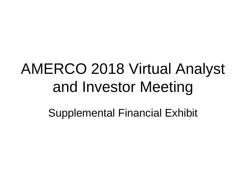## AMERCO 2018 Virtual Analyst and Investor Meeting

Supplemental Financial Exhibit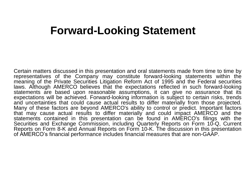### **Forward-Looking Statement**

Certain matters discussed in this presentation and oral statements made from time to time by representatives of the Company may constitute forward-looking statements within the meaning of the Private Securities Litigation Reform Act of 1995 and the Federal securities laws. Although AMERCO believes that the expectations reflected in such forward-looking statements are based upon reasonable assumptions, it can give no assurance that its expectations will be achieved. Forward-looking information is subject to certain risks, trends and uncertainties that could cause actual results to differ materially from those projected. Many of these factors are beyond AMERCO's ability to control or predict. Important factors that may cause actual results to differ materially and could impact AMERCO and the statements contained in this presentation can be found in AMERCO's filings with the Securities and Exchange Commission, including Quarterly Reports on Form 10-Q, Current Reports on Form 8-K and Annual Reports on Form 10-K. The discussion in this presentation of AMERCO's financial performance includes financial measures that are non-GAAP.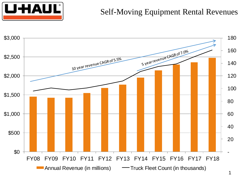# **UHAUL**

#### Self-Moving Equipment Rental Revenues

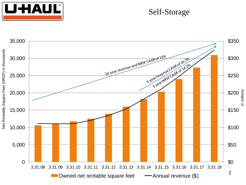

#### Self-Storage

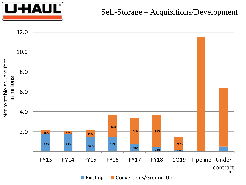

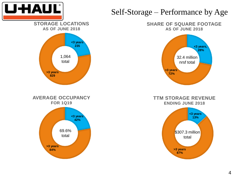

#### Self-Storage – Performance by Age

**SHARE OF SQUARE FOOTAGE AS OF JUNE 2018**



**TTM STORAGE REVENUE ENDING JUNE 2018**

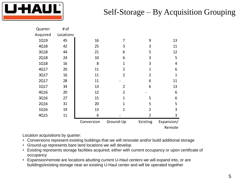

#### Self-Storage – By Acquisition Grouping

| Quarter     | # of      |            |                |                |              |
|-------------|-----------|------------|----------------|----------------|--------------|
| Acquired    | Locations |            |                |                |              |
| 1Q19        | 45        | 16         | 7              | 9              | 13           |
| 4Q18        | 42        | 25         | 3              | 3              | 11           |
| 3Q18        | 44        | 21         | 6              | 5              | 12           |
| <b>2Q18</b> | 24        | 10         | 6              | 3              | 5            |
| <b>1Q18</b> | 16        | 8          | $\mathbf{1}$   | 3              | 4            |
| 4Q17        | 20        | 11         | $\overline{2}$ | $\mathbf{1}$   | 6            |
| 3Q17        | 16        | 11         | $\overline{2}$ | $\overline{2}$ | $\mathbf{1}$ |
| 2Q17        | 28        | 11         |                | 6              | 11           |
| 1Q17        | 34        | 13         | $\overline{2}$ | 6              | 13           |
| 4Q16        | 20        | 12         | $\overline{2}$ |                | 6            |
| 3Q16        | 27        | 15         | $\mathbf{1}$   | 5              | 6            |
| <b>2Q16</b> | 31        | 20         | $\mathbf{1}$   | 5              | 5            |
| 1Q16        | 19        | 13         | 1              | $\overline{2}$ | 3            |
| 4Q15        | 11        | 6          |                | $\overline{2}$ | 3            |
|             |           | Conversion | Ground-Up      | Existing       | Expansion/   |
|             |           |            |                |                | Remote       |

Location acquisitions by quarter:

- Conversions represent existing buildings that we will renovate and/or build additional storage
- Ground-up represents bare land locations we will develop
- Existing represents storage facilities acquired, either with current occupancy or upon certificate of occupancy
- Expansion/remote are locations abutting current U-Haul centers we will expand into, or are buildings/existing storage near an existing U-Haul center and will be operated together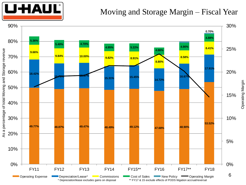

#### Moving and Storage Margin – Fiscal Year



Operating Margin Operating Margin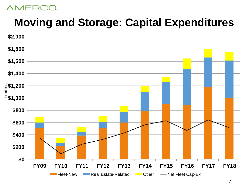

## **Moving and Storage: Capital Expenditures**